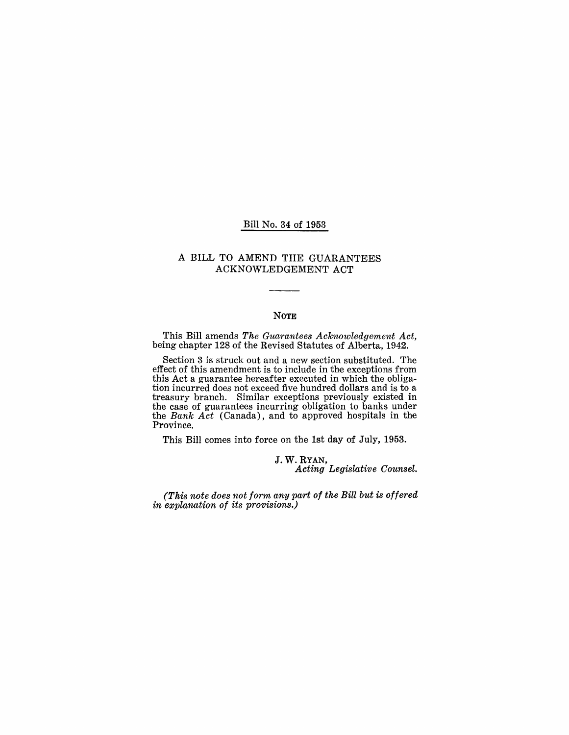### Bill No. 34 of 1953

#### A BILL TO AMEND THE GUARANTEES ACKNOWLEDGEMENT ACT

#### NOTE

This Bill amends *The Guarantees Acknowledgement Act*, being chapter 128 of the Revised Statutes of Alberta, 1942.

Section 3 is struck out and a new section substituted. The effect of this amendment is to include in the exceptions from this Act a guarantee hereafter executed in which the obligation incurred does not exceed five hundred dollars and is to a treasury branch. Similar exceptions previously existed in the case of guarantees incurring obligation to banks under the *Bank Act* (Canada), and to approved hospitals in the Province.

This Bill comes into force on the 1st day of July, 1953.

J. W. RYAN, *Acting Legislative Counsel.* 

*(This note does not form any part of the Bill but is offered in explanation of its provisions.)*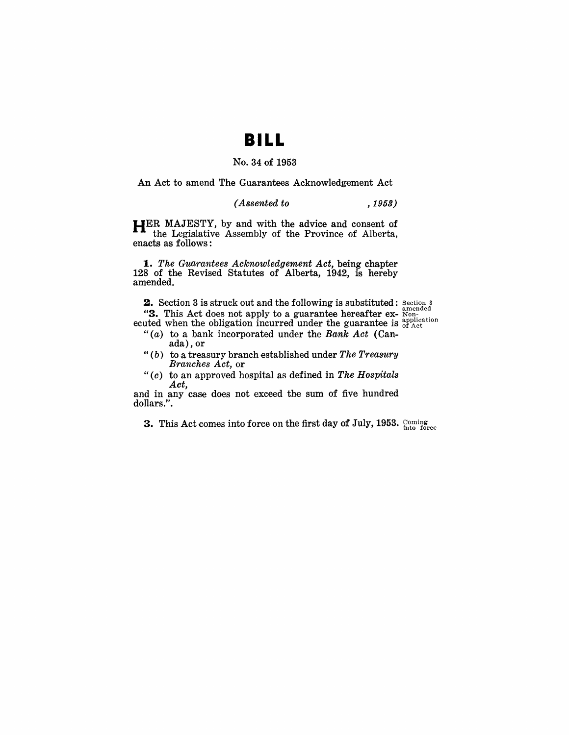## **BILL**

#### No. 34 of 1953

An Act to amend The Guarantees Acknowledgement Act

#### *( Assented to* ,1953)

HER MAJESTY, by and with the advice and consent of the Legislative Assembly of the Province of Alberta, enacts as follows:

*1. The Guarantees Acknowledgement Act,* being chapter 128 of the Revised Statutes of Alherta, 1942, is hereby amended.

**2.** Section 3 is struck out and the following is substituted:  $\frac{\text{section 3}}{\text{amended}}$ <br>
"3. This Act does not apply to a guarantee hereafter ex-  $\frac{\text{None}}{\text{Mean}}$ ecuted when the obligation incurred under the guarantee is  $_{\text{of Act}}^{\text{application}}$ 

- " *(a)* to a bank incorporated under the *Bank Act* (Canada), or
- " *(b)* toa treasury branch established under *The Treasury Branches Act,* or
- *"(c)* to an approved hospital as defined in *The Hospitals Act,*

and in any case does not exceed the sum of five hundred dollars.".

3. This Act comes into force on the first day of July, 1953.  $_{\text{into force}}^{\text{coming}}$